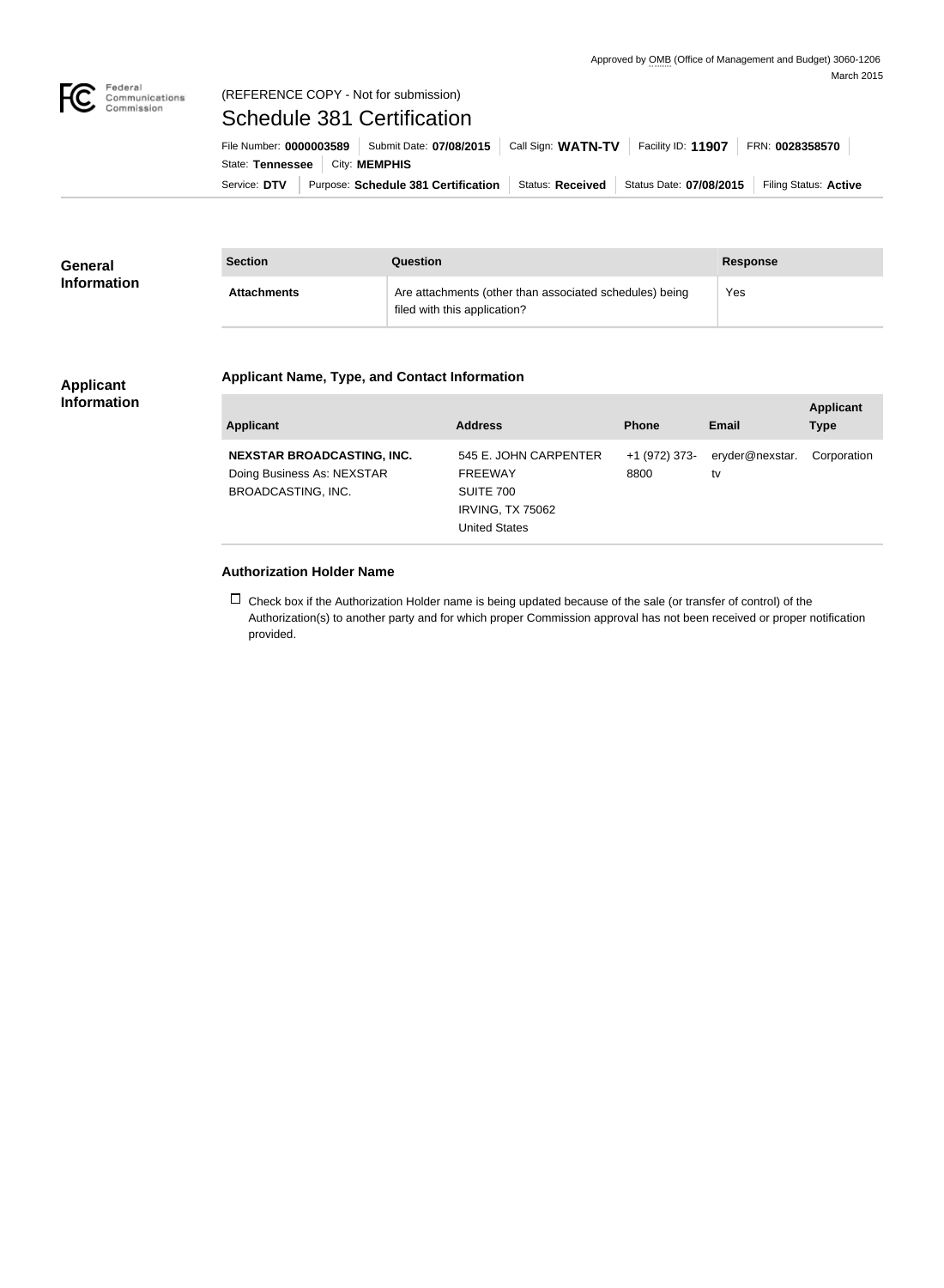

# (REFERENCE COPY - Not for submission)

Schedule 381 Certification

Service: DTV Purpose: Schedule 381 Certification Status: Received Status Date: 07/08/2015 Filing Status: Active State: Tennessee | City: MEMPHIS File Number: **0000003589** Submit Date: **07/08/2015** Call Sign: **WATN-TV** Facility ID: **11907** FRN: **0028358570**

| <b>General</b><br><b>Information</b> | <b>Section</b>     | Question                                                                                | <b>Response</b> |
|--------------------------------------|--------------------|-----------------------------------------------------------------------------------------|-----------------|
|                                      | <b>Attachments</b> | Are attachments (other than associated schedules) being<br>filed with this application? | Yes             |

#### **Applicant Information**

### **Applicant Name, Type, and Contact Information**

| Applicant                                                                                    | <b>Address</b>                                                                                   | <b>Phone</b>          | Email                 | <b>Applicant</b><br><b>Type</b> |
|----------------------------------------------------------------------------------------------|--------------------------------------------------------------------------------------------------|-----------------------|-----------------------|---------------------------------|
| <b>NEXSTAR BROADCASTING, INC.</b><br>Doing Business As: NEXSTAR<br><b>BROADCASTING, INC.</b> | 545 E. JOHN CARPENTER<br><b>FREEWAY</b><br>SUITE 700<br><b>IRVING, TX 75062</b><br>United States | +1 (972) 373-<br>8800 | eryder@nexstar.<br>tv | Corporation                     |

### **Authorization Holder Name**

 $\Box$  Check box if the Authorization Holder name is being updated because of the sale (or transfer of control) of the Authorization(s) to another party and for which proper Commission approval has not been received or proper notification provided.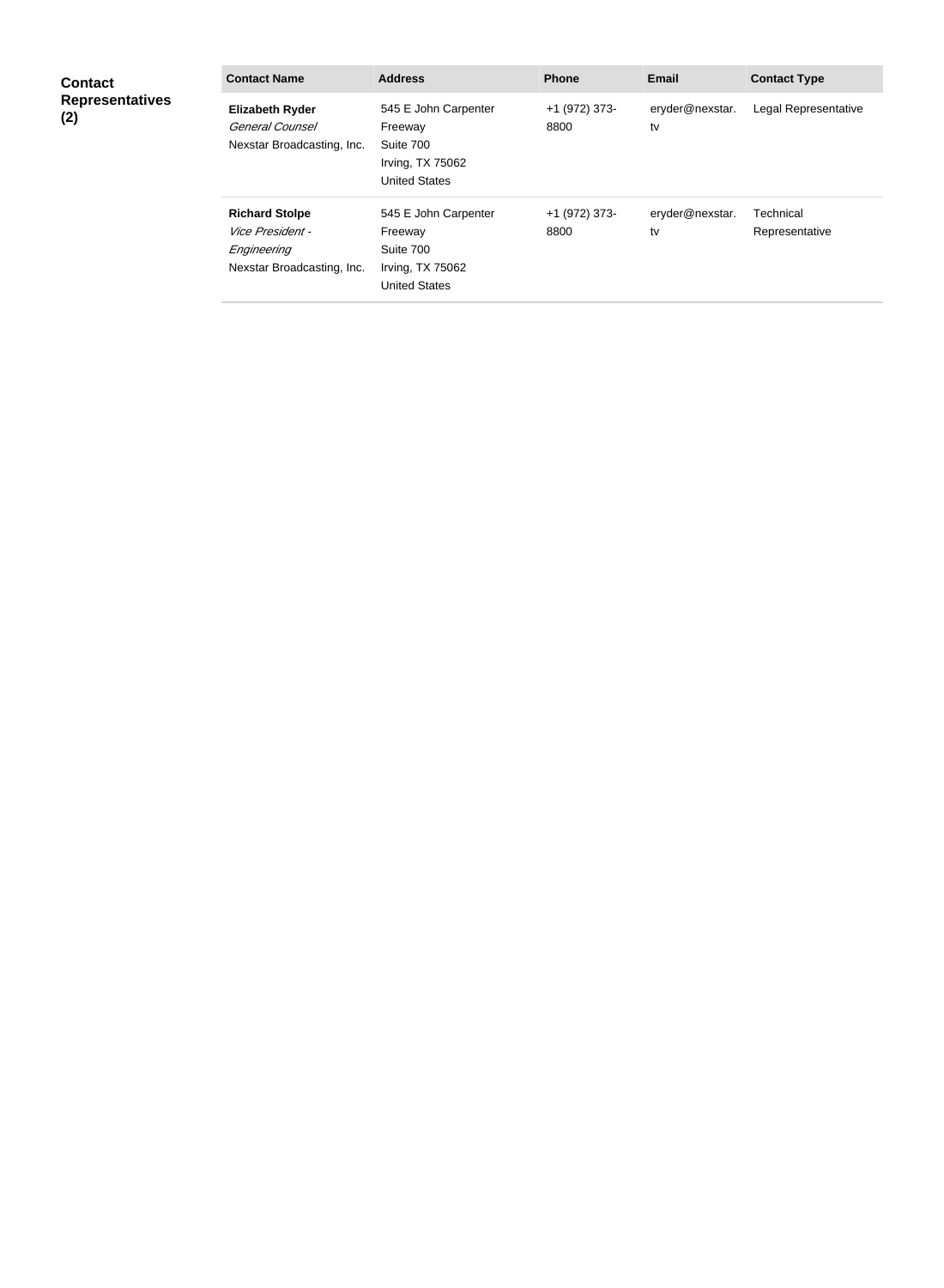| <b>Contact</b><br><b>Representatives</b><br>(2) | <b>Contact Name</b>                                                                    | <b>Address</b>                                                                           | <b>Phone</b>          | <b>Email</b>          | <b>Contact Type</b>         |
|-------------------------------------------------|----------------------------------------------------------------------------------------|------------------------------------------------------------------------------------------|-----------------------|-----------------------|-----------------------------|
|                                                 | <b>Elizabeth Ryder</b><br>General Counsel<br>Nexstar Broadcasting, Inc.                | 545 E John Carpenter<br>Freeway<br>Suite 700<br>Irving, TX 75062<br><b>United States</b> | +1 (972) 373-<br>8800 | eryder@nexstar.<br>tv | Legal Representative        |
|                                                 | <b>Richard Stolpe</b><br>Vice President -<br>Engineering<br>Nexstar Broadcasting, Inc. | 545 E John Carpenter<br>Freeway<br>Suite 700<br>Irving, TX 75062<br><b>United States</b> | +1 (972) 373-<br>8800 | eryder@nexstar.<br>tv | Technical<br>Representative |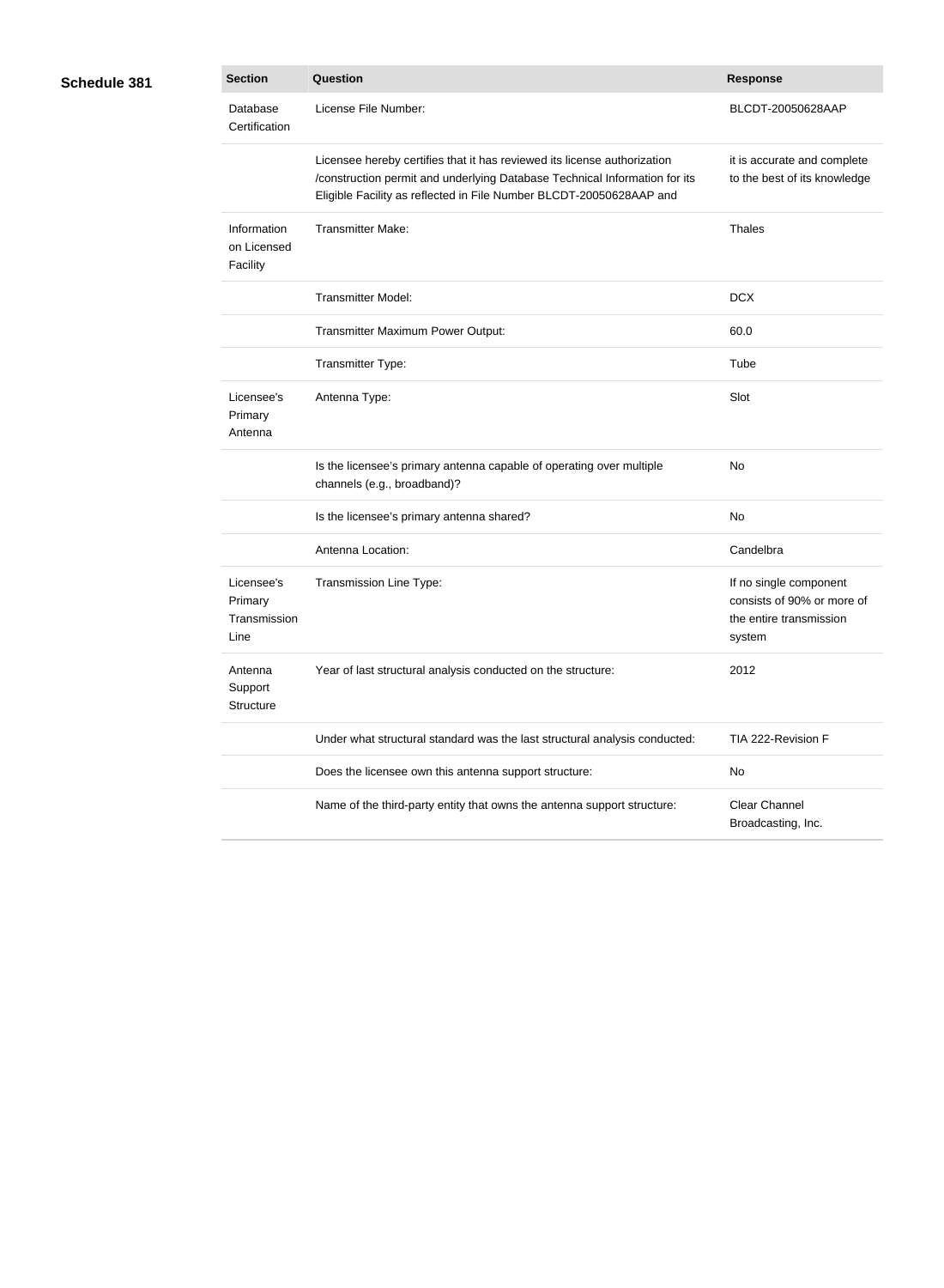## **Schedule 381**

| <b>Section</b>                                | Question                                                                                                                                                                                                                      | <b>Response</b>                                                                           |
|-----------------------------------------------|-------------------------------------------------------------------------------------------------------------------------------------------------------------------------------------------------------------------------------|-------------------------------------------------------------------------------------------|
| Database<br>Certification                     | License File Number:                                                                                                                                                                                                          | BLCDT-20050628AAP                                                                         |
|                                               | Licensee hereby certifies that it has reviewed its license authorization<br>/construction permit and underlying Database Technical Information for its<br>Eligible Facility as reflected in File Number BLCDT-20050628AAP and | it is accurate and complete<br>to the best of its knowledge                               |
| Information<br>on Licensed<br>Facility        | <b>Transmitter Make:</b>                                                                                                                                                                                                      | Thales                                                                                    |
|                                               | <b>Transmitter Model:</b>                                                                                                                                                                                                     | <b>DCX</b>                                                                                |
|                                               | Transmitter Maximum Power Output:                                                                                                                                                                                             | 60.0                                                                                      |
|                                               | Transmitter Type:                                                                                                                                                                                                             | Tube                                                                                      |
| Licensee's<br>Primary<br>Antenna              | Antenna Type:                                                                                                                                                                                                                 | Slot                                                                                      |
|                                               | Is the licensee's primary antenna capable of operating over multiple<br>channels (e.g., broadband)?                                                                                                                           | No                                                                                        |
|                                               | Is the licensee's primary antenna shared?                                                                                                                                                                                     | No                                                                                        |
|                                               | Antenna Location:                                                                                                                                                                                                             | Candelbra                                                                                 |
| Licensee's<br>Primary<br>Transmission<br>Line | Transmission Line Type:                                                                                                                                                                                                       | If no single component<br>consists of 90% or more of<br>the entire transmission<br>system |
| Antenna<br>Support<br>Structure               | Year of last structural analysis conducted on the structure:                                                                                                                                                                  | 2012                                                                                      |
|                                               | Under what structural standard was the last structural analysis conducted:                                                                                                                                                    | TIA 222-Revision F                                                                        |
|                                               | Does the licensee own this antenna support structure:                                                                                                                                                                         | No                                                                                        |
|                                               | Name of the third-party entity that owns the antenna support structure:                                                                                                                                                       | <b>Clear Channel</b><br>Broadcasting, Inc.                                                |
|                                               |                                                                                                                                                                                                                               |                                                                                           |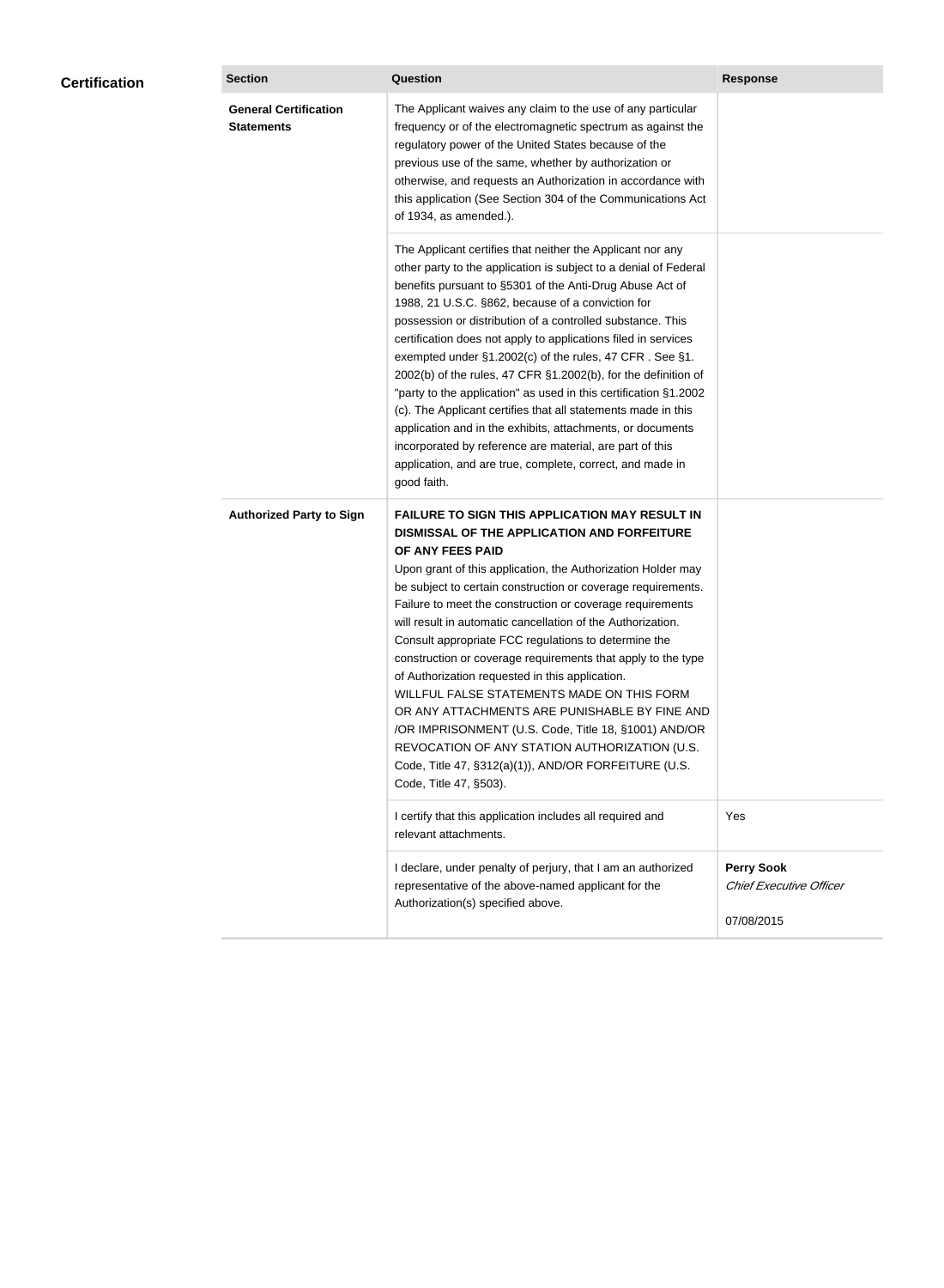| <b>Certification</b> | <b>Section</b>                                    | <b>Question</b>                                                                                                                                                                                                                                                                                                                                                                                                                                                                                                                                                                                                                                                                                                                                                                                                                                           | <b>Response</b>                                            |
|----------------------|---------------------------------------------------|-----------------------------------------------------------------------------------------------------------------------------------------------------------------------------------------------------------------------------------------------------------------------------------------------------------------------------------------------------------------------------------------------------------------------------------------------------------------------------------------------------------------------------------------------------------------------------------------------------------------------------------------------------------------------------------------------------------------------------------------------------------------------------------------------------------------------------------------------------------|------------------------------------------------------------|
|                      | <b>General Certification</b><br><b>Statements</b> | The Applicant waives any claim to the use of any particular<br>frequency or of the electromagnetic spectrum as against the<br>regulatory power of the United States because of the<br>previous use of the same, whether by authorization or<br>otherwise, and requests an Authorization in accordance with<br>this application (See Section 304 of the Communications Act<br>of 1934, as amended.).                                                                                                                                                                                                                                                                                                                                                                                                                                                       |                                                            |
|                      |                                                   | The Applicant certifies that neither the Applicant nor any<br>other party to the application is subject to a denial of Federal<br>benefits pursuant to §5301 of the Anti-Drug Abuse Act of<br>1988, 21 U.S.C. §862, because of a conviction for<br>possession or distribution of a controlled substance. This<br>certification does not apply to applications filed in services<br>exempted under §1.2002(c) of the rules, 47 CFR. See §1.<br>2002(b) of the rules, 47 CFR §1.2002(b), for the definition of<br>"party to the application" as used in this certification §1.2002<br>(c). The Applicant certifies that all statements made in this<br>application and in the exhibits, attachments, or documents<br>incorporated by reference are material, are part of this<br>application, and are true, complete, correct, and made in<br>good faith.   |                                                            |
|                      | <b>Authorized Party to Sign</b>                   | <b>FAILURE TO SIGN THIS APPLICATION MAY RESULT IN</b><br>DISMISSAL OF THE APPLICATION AND FORFEITURE<br>OF ANY FEES PAID<br>Upon grant of this application, the Authorization Holder may<br>be subject to certain construction or coverage requirements.<br>Failure to meet the construction or coverage requirements<br>will result in automatic cancellation of the Authorization.<br>Consult appropriate FCC regulations to determine the<br>construction or coverage requirements that apply to the type<br>of Authorization requested in this application.<br>WILLFUL FALSE STATEMENTS MADE ON THIS FORM<br>OR ANY ATTACHMENTS ARE PUNISHABLE BY FINE AND<br>/OR IMPRISONMENT (U.S. Code, Title 18, §1001) AND/OR<br>REVOCATION OF ANY STATION AUTHORIZATION (U.S.<br>Code, Title 47, §312(a)(1)), AND/OR FORFEITURE (U.S.<br>Code, Title 47, §503). |                                                            |
|                      |                                                   | I certify that this application includes all required and<br>relevant attachments.                                                                                                                                                                                                                                                                                                                                                                                                                                                                                                                                                                                                                                                                                                                                                                        | Yes                                                        |
|                      |                                                   | I declare, under penalty of perjury, that I am an authorized<br>representative of the above-named applicant for the<br>Authorization(s) specified above.                                                                                                                                                                                                                                                                                                                                                                                                                                                                                                                                                                                                                                                                                                  | <b>Perry Sook</b><br>Chief Executive Officer<br>07/08/2015 |